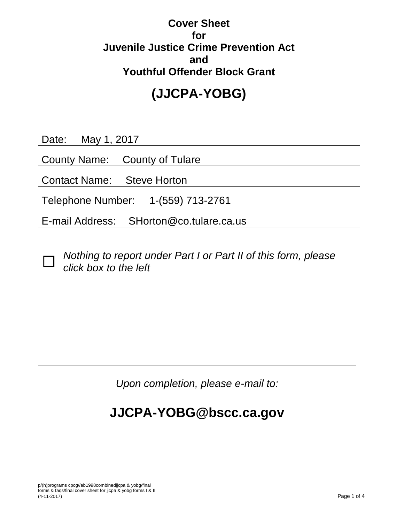### **Cover Sheet for Juvenile Justice Crime Prevention Act and Youthful Offender Block Grant**

# **(JJCPA-YOBG)**

Date: May 1, 2017

County Name: County of Tulare

Contact Name: Steve Horton

Telephone Number: 1-(559) 713-2761

E-mail Address: SHorton@co.tulare.ca.us

 $\Box$ 

*Nothing to report under Part I or Part II of this form, please click box to the left*

*Upon completion, please e-mail to:*

## **JJCPA-YOBG@bscc.ca.gov**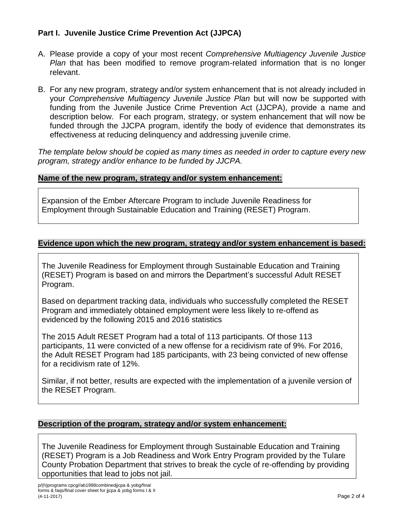#### **Part I. Juvenile Justice Crime Prevention Act (JJPCA)**

- A. Please provide a copy of your most recent *Comprehensive Multiagency Juvenile Justice Plan* that has been modified to remove program-related information that is no longer relevant.
- B. For any new program, strategy and/or system enhancement that is not already included in your *Comprehensive Multiagency Juvenile Justice Plan* but will now be supported with funding from the Juvenile Justice Crime Prevention Act (JJCPA), provide a name and description below. For each program, strategy, or system enhancement that will now be funded through the JJCPA program, identify the body of evidence that demonstrates its effectiveness at reducing delinquency and addressing juvenile crime.

*The template below should be copied as many times as needed in order to capture every new program, strategy and/or enhance to be funded by JJCPA.*

#### **Name of the new program, strategy and/or system enhancement:**

Expansion of the Ember Aftercare Program to include Juvenile Readiness for Employment through Sustainable Education and Training (RESET) Program.

#### **Evidence upon which the new program, strategy and/or system enhancement is based:**

The Juvenile Readiness for Employment through Sustainable Education and Training (RESET) Program is based on and mirrors the Department's successful Adult RESET Program.

Based on department tracking data, individuals who successfully completed the RESET Program and immediately obtained employment were less likely to re-offend as evidenced by the following 2015 and 2016 statistics

The 2015 Adult RESET Program had a total of 113 participants. Of those 113 participants, 11 were convicted of a new offense for a recidivism rate of 9%. For 2016, the Adult RESET Program had 185 participants, with 23 being convicted of new offense for a recidivism rate of 12%.

Similar, if not better, results are expected with the implementation of a juvenile version of the RESET Program.

#### **Description of the program, strategy and/or system enhancement:**

The Juvenile Readiness for Employment through Sustainable Education and Training (RESET) Program is a Job Readiness and Work Entry Program provided by the Tulare County Probation Department that strives to break the cycle of re-offending by providing opportunities that lead to jobs not jail.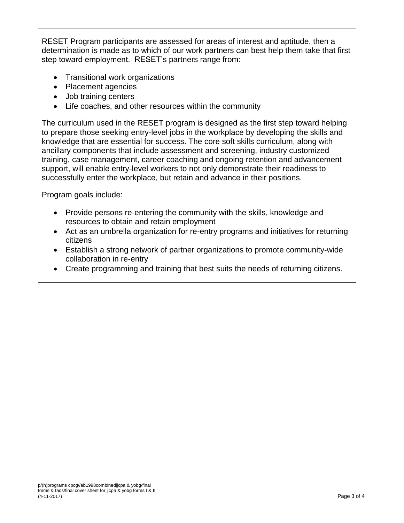RESET Program participants are assessed for areas of interest and aptitude, then a determination is made as to which of our work partners can best help them take that first step toward employment. RESET's partners range from:

- Transitional work organizations
- Placement agencies
- Job training centers
- Life coaches, and other resources within the community

The curriculum used in the RESET program is designed as the first step toward helping to prepare those seeking entry-level jobs in the workplace by developing the skills and knowledge that are essential for success. The core soft skills curriculum, along with ancillary components that include assessment and screening, industry customized training, case management, career coaching and ongoing retention and advancement support, will enable entry-level workers to not only demonstrate their readiness to successfully enter the workplace, but retain and advance in their positions.

Program goals include:

- Provide persons re-entering the community with the skills, knowledge and resources to obtain and retain employment
- Act as an umbrella organization for re-entry programs and initiatives for returning citizens
- Establish a strong network of partner organizations to promote community-wide collaboration in re-entry
- Create programming and training that best suits the needs of returning citizens.